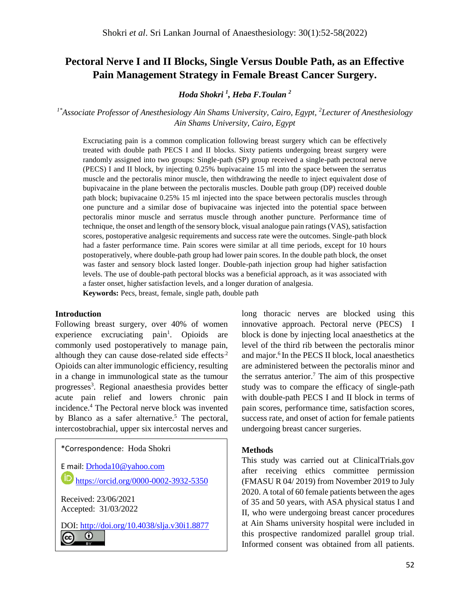# **Pectoral Nerve I and II Blocks, Single Versus Double Path, as an Effective Pain Management Strategy in Female Breast Cancer Surgery.**

*Hoda Shokri <sup>1</sup> , Heba F.Toulan <sup>2</sup>*

<sup>1\*</sup>*Associate Professor of Anesthesiology Ain Shams University, Cairo, Egypt, <sup>2</sup>Lecturer of Anesthesiology Ain Shams University, Cairo, Egypt*

Excruciating pain is a common complication following breast surgery which can be effectively treated with double path PECS I and II blocks. Sixty patients undergoing breast surgery were randomly assigned into two groups: Single-path (SP) group received a single-path pectoral nerve (PECS) I and II block, by injecting 0.25% bupivacaine 15 ml into the space between the serratus muscle and the pectoralis minor muscle, then withdrawing the needle to inject equivalent dose of bupivacaine in the plane between the pectoralis muscles. Double path group (DP) received double path block; bupivacaine 0.25% 15 ml injected into the space between pectoralis muscles through one puncture and a similar dose of bupivacaine was injected into the potential space between pectoralis minor muscle and serratus muscle through another puncture. Performance time of technique, the onset and length of the sensory block, visual analogue pain ratings (VAS), satisfaction scores, postoperative analgesic requirements and success rate were the outcomes. Single-path block had a faster performance time. Pain scores were similar at all time periods, except for 10 hours postoperatively, where double-path group had lower pain scores. In the double path block, the onset was faster and sensory block lasted longer. Double-path injection group had higher satisfaction levels. The use of double-path pectoral blocks was a beneficial approach, as it was associated with a faster onset, higher satisfaction levels, and a longer duration of analgesia.

**Keywords:** Pecs, breast, female, single path, double path

#### **Introduction**

Following breast surgery, over 40% of women experience excruciating pain<sup>1</sup>. Opioids are commonly used postoperatively to manage pain, although they can cause dose-related side effects<sup>2</sup> Opioids can alter immunologic efficiency, resulting in a change in immunological state as the tumour progresses<sup>3</sup>. Regional anaesthesia provides better acute pain relief and lowers chronic pain incidence.<sup>4</sup> The Pectoral nerve block was invented by Blanco as a safer alternative.<sup>5</sup> The pectoral, intercostobrachial, upper six intercostal nerves and

## \*Correspondence: Hoda Shokri

E mail: [Drhoda10@yahoo.com](mailto:Drhoda10@yahoo.com) <https://orcid.org/0000-0002-3932-5350>

Received: 23/06/2021 Accepted: 31/03/2022

DOI:<http://doi.org/10.4038/slja.v30i1.8877> $_{\odot}$ (cc)

long thoracic nerves are blocked using this innovative approach. Pectoral nerve (PECS) I block is done by injecting local anaesthetics at the level of the third rib between the pectoralis minor and major.<sup>6</sup> In the PECS II block, local anaesthetics are administered between the pectoralis minor and the serratus anterior.<sup>7</sup> The aim of this prospective study was to compare the efficacy of single-path with double-path PECS I and II block in terms of pain scores, performance time, satisfaction scores, success rate, and onset of action for female patients undergoing breast cancer surgeries.

### **Methods**

This study was carried out at ClinicalTrials.gov after receiving ethics committee permission (FMASU R 04/ 2019) from November 2019 to July 2020. A total of 60 female patients between the ages of 35 and 50 years, with ASA physical status I and II, who were undergoing breast cancer procedures at Ain Shams university hospital were included in this prospective randomized parallel group trial. Informed consent was obtained from all patients.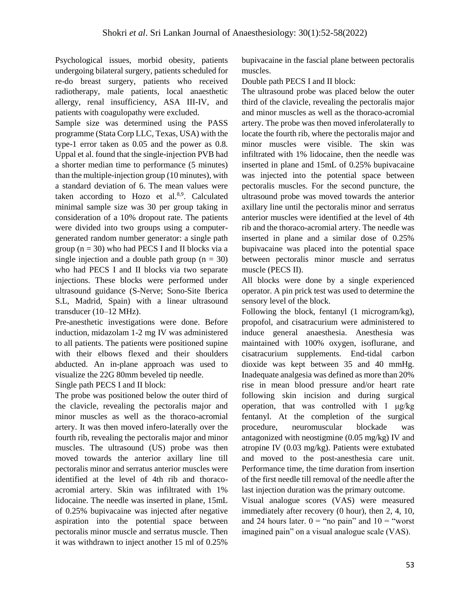Psychological issues, morbid obesity, patients undergoing bilateral surgery, patients scheduled for re-do breast surgery, patients who received radiotherapy, male patients, local anaesthetic allergy, renal insufficiency, ASA III-IV, and patients with coagulopathy were excluded.

Sample size was determined using the PASS programme (Stata Corp LLC, Texas, USA) with the type-1 error taken as 0.05 and the power as 0.8. Uppal et al. found that the single-injection PVB had a shorter median time to performance (5 minutes) than the multiple-injection group (10 minutes), with a standard deviation of 6. The mean values were taken according to Hozo et al.<sup>8,9</sup>. Calculated minimal sample size was 30 per group taking in consideration of a 10% dropout rate. The patients were divided into two groups using a computergenerated random number generator: a single path group ( $n = 30$ ) who had PECS I and II blocks via a single injection and a double path group  $(n = 30)$ who had PECS I and II blocks via two separate injections. These blocks were performed under ultrasound guidance (S-Nerve; Sono-Site Iberica S.L, Madrid, Spain) with a linear ultrasound transducer (10–12 MHz).

Pre-anesthetic investigations were done. Before induction, midazolam 1-2 mg IV was administered to all patients. The patients were positioned supine with their elbows flexed and their shoulders abducted. An in-plane approach was used to visualize the 22G 80mm beveled tip needle.

Single path PECS I and II block:

The probe was positioned below the outer third of the clavicle, revealing the pectoralis major and minor muscles as well as the thoraco-acromial artery. It was then moved infero-laterally over the fourth rib, revealing the pectoralis major and minor muscles. The ultrasound (US) probe was then moved towards the anterior axillary line till pectoralis minor and serratus anterior muscles were identified at the level of 4th rib and thoracoacromial artery. Skin was infiltrated with 1% lidocaine. The needle was inserted in plane, 15mL of 0.25% bupivacaine was injected after negative aspiration into the potential space between pectoralis minor muscle and serratus muscle. Then it was withdrawn to inject another 15 ml of 0.25%

bupivacaine in the fascial plane between pectoralis muscles.

Double path PECS I and II block:

The ultrasound probe was placed below the outer third of the clavicle, revealing the pectoralis major and minor muscles as well as the thoraco-acromial artery. The probe was then moved inferolaterally to locate the fourth rib, where the pectoralis major and minor muscles were visible. The skin was infiltrated with 1% lidocaine, then the needle was inserted in plane and 15mL of 0.25% bupivacaine was injected into the potential space between pectoralis muscles. For the second puncture, the ultrasound probe was moved towards the anterior axillary line until the pectoralis minor and serratus anterior muscles were identified at the level of 4th rib and the thoraco-acromial artery. The needle was inserted in plane and a similar dose of 0.25% bupivacaine was placed into the potential space between pectoralis minor muscle and serratus muscle (PECS II).

All blocks were done by a single experienced operator. A pin prick test was used to determine the sensory level of the block.

Following the block, fentanyl (1 microgram/kg), propofol, and cisatracurium were administered to induce general anaesthesia. Anesthesia was maintained with 100% oxygen, isoflurane, and cisatracurium supplements. End-tidal carbon dioxide was kept between 35 and 40 mmHg. Inadequate analgesia was defined as more than 20% rise in mean blood pressure and/or heart rate following skin incision and during surgical operation, that was controlled with 1 μg/kg fentanyl. At the completion of the surgical procedure, neuromuscular blockade was antagonized with neostigmine (0.05 mg/kg) IV and atropine IV (0.03 mg/kg). Patients were extubated and moved to the post-anesthesia care unit. Performance time, the time duration from insertion of the first needle till removal of the needle after the last injection duration was the primary outcome.

Visual analogue scores (VAS) were measured immediately after recovery (0 hour), then 2, 4, 10, and 24 hours later.  $0 = \text{``no pain''}$  and  $10 = \text{``worst}$ imagined pain" on a visual analogue scale (VAS).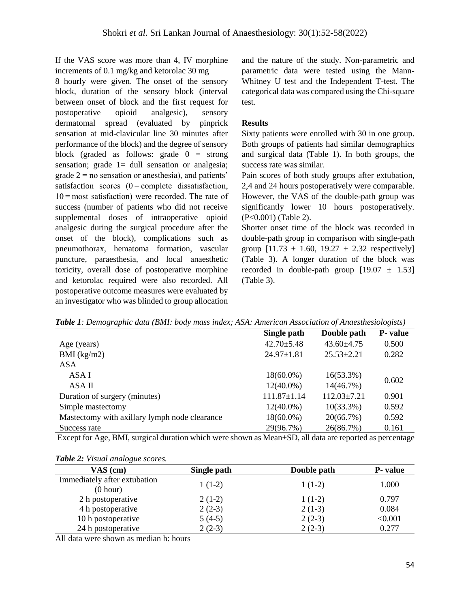If the VAS score was more than 4, IV morphine increments of 0.1 mg/kg and ketorolac 30 mg

8 hourly were given. The onset of the sensory block, duration of the sensory block (interval between onset of block and the first request for postoperative opioid analgesic), sensory dermatomal spread (evaluated by pinprick sensation at mid-clavicular line 30 minutes after performance of the block) and the degree of sensory block (graded as follows: grade  $0 =$  strong sensation; grade 1= dull sensation or analgesia; grade  $2 = no$  sensation or anesthesia), and patients' satisfaction scores  $(0 =$ complete dissatisfaction,  $10 =$ most satisfaction) were recorded. The rate of success (number of patients who did not receive supplemental doses of intraoperative opioid analgesic during the surgical procedure after the onset of the block), complications such as pneumothorax, hematoma formation, vascular puncture, paraesthesia, and local anaesthetic toxicity, overall dose of postoperative morphine and ketorolac required were also recorded. All postoperative outcome measures were evaluated by an investigator who was blinded to group allocation and the nature of the study. Non-parametric and parametric data were tested using the Mann-Whitney U test and the Independent T-test. The categorical data was compared using the Chi-square test.

## **Results**

Sixty patients were enrolled with 30 in one group. Both groups of patients had similar demographics and surgical data (Table 1). In both groups, the success rate was similar.

Pain scores of both study groups after extubation, 2,4 and 24 hours postoperatively were comparable. However, the VAS of the double-path group was significantly lower 10 hours postoperatively. (P<0.001) (Table 2).

Shorter onset time of the block was recorded in double-path group in comparison with single-path group  $[11.73 \pm 1.60, 19.27 \pm 2.32$  respectively (Table 3). A longer duration of the block was recorded in double-path group  $[19.07 \pm 1.53]$ (Table 3).

*Table 1: Demographic data (BMI: body mass index; ASA: American Association of Anaesthesiologists)* 

|                                               | Single path       | Double path       | <b>P</b> - value |
|-----------------------------------------------|-------------------|-------------------|------------------|
| Age (years)                                   | $42.70 \pm 5.48$  | $43.60 \pm 4.75$  | 0.500            |
| $BMI$ (kg/m2)                                 | $24.97 \pm 1.81$  | $25.53 \pm 2.21$  | 0.282            |
| ASA                                           |                   |                   |                  |
| ASA I                                         | $18(60.0\%)$      | $16(53.3\%)$      |                  |
| ASA II                                        | $12(40.0\%)$      | 14(46.7%)         | 0.602            |
| Duration of surgery (minutes)                 | $111.87 \pm 1.14$ | $112.03 \pm 7.21$ | 0.901            |
| Simple mastectomy                             | $12(40.0\%)$      | $10(33.3\%)$      | 0.592            |
| Mastectomy with axillary lymph node clearance | $18(60.0\%)$      | 20(66.7%)         | 0.592            |
| Success rate                                  | 29(96.7%)         | 26(86.7%)         | 0.161            |

Except for Age, BMI, surgical duration which were shown as Mean±SD, all data are reported as percentage

| VAS (cm)                                 | Single path | Double path | <b>P</b> -value |
|------------------------------------------|-------------|-------------|-----------------|
| Immediately after extubation<br>(0 hour) | $1(1-2)$    | $1(1-2)$    | 1.000           |
| 2 h postoperative                        | $2(1-2)$    | $1(1-2)$    | 0.797           |
| 4 h postoperative                        | $2(2-3)$    | $2(1-3)$    | 0.084           |
| 10 h postoperative                       | $5(4-5)$    | $2(2-3)$    | < 0.001         |
| 24 h postoperative                       | $2(2-3)$    | $2(2-3)$    | 0.277           |

All data were shown as median h: hours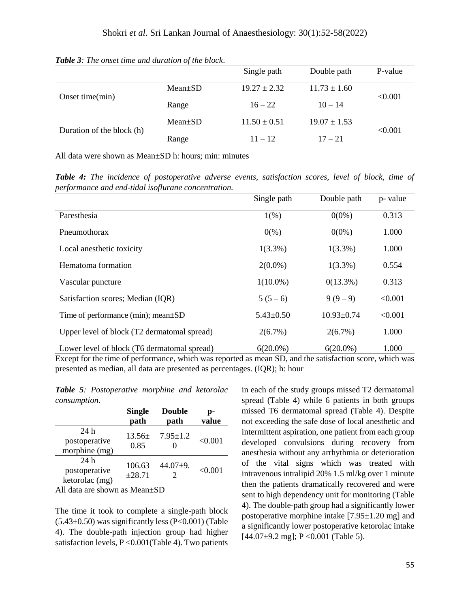|                           |               | Single path      | Double path      | P-value |
|---------------------------|---------------|------------------|------------------|---------|
| Onset time $(min)$        | $Mean \pm SD$ | $19.27 \pm 2.32$ | $11.73 \pm 1.60$ | < 0.001 |
|                           | Range         | $16 - 22$        | $10 - 14$        |         |
| Duration of the block (h) | $Mean \pm SD$ | $11.50 \pm 0.51$ | $19.07 \pm 1.53$ | < 0.001 |
|                           | Range         | $11 - 12$        | $17 - 21$        |         |

*Table 3: The onset time and duration of the block*.

All data were shown as Mean±SD h: hours; min: minutes

*Table 4: The incidence of postoperative adverse events, satisfaction scores, level of block, time of performance and end-tidal isoflurane concentration.* 

|                                             | Single path     | Double path      | p- value |
|---------------------------------------------|-----------------|------------------|----------|
| Paresthesia                                 | $1(\%)$         | $0(0\%)$         | 0.313    |
| Pneumothorax                                | $0\frac{6}{6}$  | $0(0\%)$         | 1.000    |
| Local anesthetic toxicity                   | $1(3.3\%)$      | $1(3.3\%)$       | 1.000    |
| Hematoma formation                          | $2(0.0\%)$      | $1(3.3\%)$       | 0.554    |
| Vascular puncture                           | $1(10.0\%)$     | $0(13.3\%)$      | 0.313    |
| Satisfaction scores; Median (IQR)           | $5(5-6)$        | $9(9-9)$         | < 0.001  |
| Time of performance (min); mean $\pm$ SD    | $5.43 \pm 0.50$ | $10.93 \pm 0.74$ | < 0.001  |
| Upper level of block (T2 dermatomal spread) | $2(6.7\%)$      | $2(6.7\%)$       | 1.000    |
| Lower level of block (T6 dermatomal spread) | $6(20.0\%)$     | $6(20.0\%)$      | 1.000    |

Except for the time of performance, which was reported as mean SD, and the satisfaction score, which was presented as median, all data are presented as percentages. (IQR); h: hour

*Table 5: Postoperative morphine and ketorolac consumption*.

|                                        | <b>Single</b><br>path | <b>Double</b><br>path | p-<br>value |
|----------------------------------------|-----------------------|-----------------------|-------------|
| 24h<br>postoperative<br>morphine (mg)  | $13.56 \pm$<br>0.85   | $7.95 \pm 1.2$<br>0   | < 0.001     |
| 24h<br>postoperative<br>ketorolac (mg) | 106.63<br>±28.71      | $44.07 \pm 9.$<br>2   | < 0.001     |

All data are shown as Mean±SD

The time it took to complete a single-path block  $(5.43\pm0.50)$  was significantly less  $(P<0.001)$  (Table 4). The double-path injection group had higher satisfaction levels, P < 0.001 (Table 4). Two patients in each of the study groups missed T2 dermatomal spread (Table 4) while 6 patients in both groups missed T6 dermatomal spread (Table 4). Despite not exceeding the safe dose of local anesthetic and intermittent aspiration, one patient from each group developed convulsions during recovery from anesthesia without any arrhythmia or deterioration of the vital signs which was treated with intravenous intralipid 20% 1.5 ml/kg over 1 minute then the patients dramatically recovered and were sent to high dependency unit for monitoring (Table 4). The double-path group had a significantly lower postoperative morphine intake [7.95±1.20 mg] and a significantly lower postoperative ketorolac intake  $[44.07 \pm 9.2 \text{ mg}]$ ; P < 0.001 (Table 5).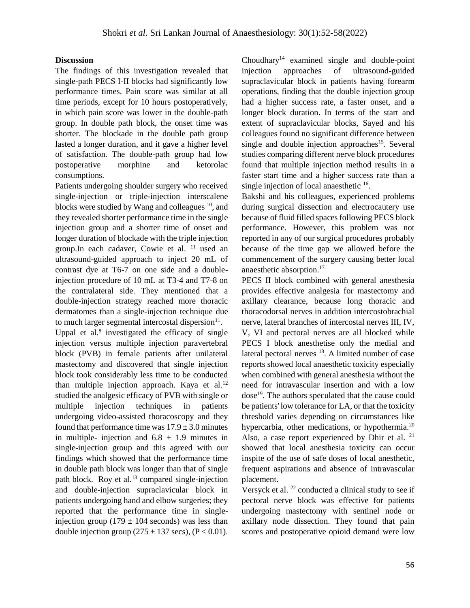### **Discussion**

The findings of this investigation revealed that single-path PECS I-II blocks had significantly low performance times. Pain score was similar at all time periods, except for 10 hours postoperatively, in which pain score was lower in the double-path group. In double path block, the onset time was shorter. The blockade in the double path group lasted a longer duration, and it gave a higher level of satisfaction. The double-path group had low postoperative morphine and ketorolac consumptions.

Patients undergoing shoulder surgery who received single-injection or triple-injection interscalene blocks were studied by Wang and colleagues <sup>10</sup>, and they revealed shorter performance time in the single injection group and a shorter time of onset and longer duration of blockade with the triple injection group.In each cadaver, Cowie et al. <sup>11</sup> used an ultrasound-guided approach to inject 20 mL of contrast dye at T6-7 on one side and a doubleinjection procedure of 10 mL at T3-4 and T7-8 on the contralateral side. They mentioned that a double-injection strategy reached more thoracic dermatomes than a single-injection technique due to much larger segmental intercostal dispersion $11$ .

Uppal et al.<sup>8</sup> investigated the efficacy of single injection versus multiple injection paravertebral block (PVB) in female patients after unilateral mastectomy and discovered that single injection block took considerably less time to be conducted than multiple injection approach. Kaya et al. $12$ studied the analgesic efficacy of PVB with single or multiple injection techniques in patients undergoing video-assisted thoracoscopy and they found that performance time was  $17.9 \pm 3.0$  minutes in multiple- injection and  $6.8 \pm 1.9$  minutes in single-injection group and this agreed with our findings which showed that the performance time in double path block was longer than that of single path block. Roy et al.<sup>13</sup> compared single-injection and double-injection supraclavicular block in patients undergoing hand and elbow surgeries; they reported that the performance time in singleinjection group (179  $\pm$  104 seconds) was less than double injection group ( $275 \pm 137$  secs), (P < 0.01).

 $Choudhary<sup>14</sup> examined single and double-point$ injection approaches of ultrasound-guided supraclavicular block in patients having forearm operations, finding that the double injection group had a higher success rate, a faster onset, and a longer block duration. In terms of the start and extent of supraclavicular blocks, Sayed and his colleagues found no significant difference between single and double injection approaches<sup>15</sup>. Several studies comparing different nerve block procedures found that multiple injection method results in a faster start time and a higher success rate than a single injection of local anaesthetic <sup>16</sup>.

Bakshi and his colleagues, experienced problems during surgical dissection and electrocautery use because of fluid filled spaces following PECS block performance. However, this problem was not reported in any of our surgical procedures probably because of the time gap we allowed before the commencement of the surgery causing better local anaesthetic absorption.<sup>17</sup>

PECS II block combined with general anesthesia provides effective analgesia for mastectomy and axillary clearance, because long thoracic and thoracodorsal nerves in addition intercostobrachial nerve, lateral branches of intercostal nerves III, IV, V, VI and pectoral nerves are all blocked while PECS I block anesthetise only the medial and lateral pectoral nerves <sup>18</sup>. A limited number of case reports showed local anaesthetic toxicity especially when combined with general anesthesia without the need for intravascular insertion and with a low dose<sup>19</sup>. The authors speculated that the cause could be patients' low tolerance for LA, or that the toxicity threshold varies depending on circumstances like hypercarbia, other medications, or hypothermia.<sup>20</sup> Also, a case report experienced by Dhir et al. <sup>21</sup> showed that local anesthesia toxicity can occur inspite of the use of safe doses of local anesthetic, frequent aspirations and absence of intravascular placement.

Versyck et al. <sup>22</sup> conducted a clinical study to see if pectoral nerve block was effective for patients undergoing mastectomy with sentinel node or axillary node dissection. They found that pain scores and postoperative opioid demand were low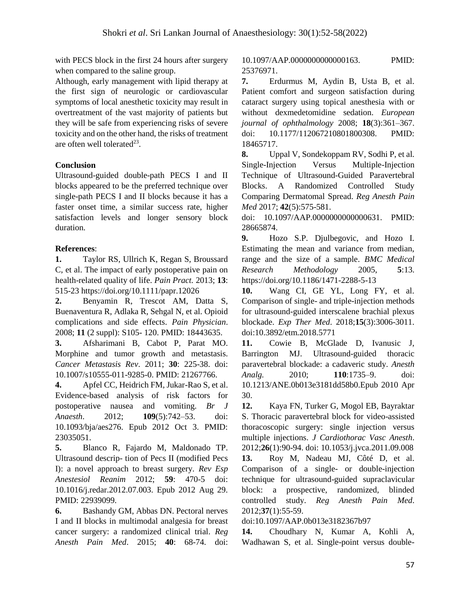with PECS block in the first 24 hours after surgery when compared to the saline group.

Although, early management with lipid therapy at the first sign of neurologic or cardiovascular symptoms of local anesthetic toxicity may result in overtreatment of the vast majority of patients but they will be safe from experiencing risks of severe toxicity and on the other hand, the risks of treatment are often well tolerated $2<sup>3</sup>$ .

# **Conclusion**

Ultrasound-guided double-path PECS I and II blocks appeared to be the preferred technique over single-path PECS I and II blocks because it has a faster onset time, a similar success rate, higher satisfaction levels and longer sensory block duration.

# **References**:

**1.** Taylor RS, Ullrich K, Regan S, Broussard C, et al. The impact of early postoperative pain on health-related quality of life. *Pain Pract.* 2013; **13**: 515-23 https://doi.org/10.1111/papr.12026

**2.** Benyamin R, Trescot AM, Datta S, Buenaventura R, Adlaka R, Sehgal N, et al. Opioid complications and side effects. *Pain Physician*. 2008; **11** (2 suppl): S105- 120. PMID: 18443635.

**3.** Afsharimani B, Cabot P, Parat MO. Morphine and tumor growth and metastasis. *Cancer Metastasis Rev*. 2011; **30**: 225-38. doi: 10.1007/s10555-011-9285-0. PMID: 21267766.

**4.** Apfel CC, Heidrich FM, Jukar-Rao S, et al. Evidence-based analysis of risk factors for postoperative nausea and vomiting. *Br J Anaesth*. 2012; **109**(5):742–53. doi: 10.1093/bja/aes276. Epub 2012 Oct 3. PMID: 23035051.

**5.** Blanco R, Fajardo M, Maldonado TP. Ultrasound descrip- tion of Pecs II (modified Pecs I): a novel approach to breast surgery. *Rev Esp Anestesiol Reanim* 2012; **59**: 470-5 doi: 10.1016/j.redar.2012.07.003. Epub 2012 Aug 29. PMID: 22939099.

**6.** Bashandy GM, Abbas DN. Pectoral nerves I and II blocks in multimodal analgesia for breast cancer surgery: a randomized clinical trial. *Reg Anesth Pain Med*. 2015; **40**: 68-74. doi:

10.1097/AAP.0000000000000163. PMID: 25376971.

**7.** Erdurmus M, Aydin B, Usta B, et al. Patient comfort and surgeon satisfaction during cataract surgery using topical anesthesia with or without dexmedetomidine sedation. *European journal of ophthalmology* 2008; **18**(3):361–367. doi: 10.1177/112067210801800308. PMID: 18465717.

**8.** Uppal V, Sondekoppam RV, Sodhi P, et al. Single-Injection Versus Multiple-Injection Technique of Ultrasound-Guided Paravertebral Blocks. A Randomized Controlled Study Comparing Dermatomal Spread. *Reg Anesth Pain Med* 2017; **42**(5):575-581.

doi: 10.1097/AAP.0000000000000631. PMID: 28665874.

**9.** Hozo S.P. Djulbegovic, and Hozo I. Estimating the mean and variance from median, range and the size of a sample. *BMC Medical Research Methodology* 2005, **5**:13. https://doi.org/10.1186/1471-2288-5-13

**10.** Wang CI, GE YL, Long FY, et al. Comparison of single- and triple-injection methods for ultrasound-guided interscalene brachial plexus blockade. *Exp Ther Med*. 2018;**15**(3):3006-3011. doi:10.3892/etm.2018.5771

**11.** Cowie B, McGlade D, Ivanusic J, Barrington MJ. Ultrasound-guided thoracic paravertebral blockade: a cadaveric study. *Anesth Analg.* 2010; **110**:1735–9. doi: 10.1213/ANE.0b013e3181dd58b0.Epub 2010 Apr 30.

**12.** Kaya FN, Turker G, Mogol EB, Bayraktar S. Thoracic paravertebral block for video-assisted thoracoscopic surgery: single injection versus multiple injections. *J Cardiothorac Vasc Anesth*. 2012;**26**(1):90-94. doi: 10.1053/j.jvca.2011.09.008 **13.** Roy M, Nadeau MJ, Côté D, et al. Comparison of a single- or double-injection technique for ultrasound-guided supraclavicular block: a prospective, randomized, blinded controlled study. *Reg Anesth Pain Med*. 2012;**37**(1):55-59.

# doi:10.1097/AAP.0b013e3182367b97

**14.** Choudhary N, Kumar A, Kohli A, Wadhawan S, et al. Single-point versus double